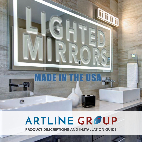# **ARTLINE GRØUP**

DE IN THE USA.

**The Second Second Second Second** 

PRODUCT DESCRIPTIONS AND INSTALLATION GUIDE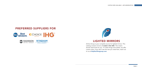## LIGHTED MIRRORS

Artline Group is your complete source for lighted mirrors. This catalog contains mirrors all made in the USA. This means shorter lead times for you. To make things even better, we offer custom sizes. If you don't see the size you need here, reach out to us at [help@artlinegroup.com](mailto:help%40artlinegroup.com?subject=).

### PREFERRED SUPPLIERS FOR





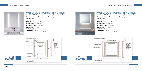- 
- 



### WALL GLOW 2-SIDED LIGHTED MIRROR

Two-sided LED Mirror with frosting to the edge (WG), Double strips. Orientation of the mirror can be changed. Includes security screw.

ITEM #: LM2WG-C2436 DIMENSION: 24 in x 36 in DIFFUSER INCLUDED: Yes COLOR TEMP: 3000 K LUMENS: 4600 ELECTRICAL: Hardwired or plug





**SHOP** 

### WALL GLOW 2-SIDED LIGHTED MIRROR

Two-sided LED Mirror with frosting to the edge (WG), Double strips. Orientation of the mirror can be changed. Includes security screw.

ITEM #: LM2WG-C3636 DIMENSION: 36 in x 36 in DIFFUSER INCLUDED: Yes COLOR TEMP: 3000 K LUMENS: 4600 ELECTRICAL: Hardwired or plug



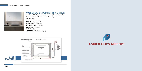



### WALL GLOW 2-SIDED LIGHTED MIRROR

Two-sided LED Mirror with frosting to the edge (WG), Double strips. Orientation of the mirror can be changed. Includes security screw.

ITEM #: LM2WG-C4836 DIMENSION: 48 in x 36 in DIFFUSER INCLUDED: Yes COLOR TEMP: 3000 K LUMENS: 4600 ELECTRICAL: Hardwired or plug

4-SIDED GLOW MIRRORS

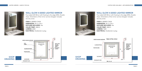

### WALL GLOW 4-SIDED LIGHTED MIRROR

Four-sided LED Mirror with frosting to the edge (WG), Double strips. Orientation of the mirror can be changed. Includes security screw.

ITEM #: LM4WG-C2436 DIMENSION: 24 in x 36 in DIFFUSER INCLUDED: Yes COLOR TEMP: 3000 K LUMENS: 6000 ELECTRICAL: Hardwired or plug



### WALL GLOW 4-SIDED LIGHTED MIRROR

Four-sided LED Mirror with frosting to the edge (WG), Double strips. Orientation of the mirror can be changed. Includes security screw.

ITEM #: LM4WG-C3636 DIMENSION: 36 in x 36 in DIFFUSER INCLUDED: Yes COLOR TEMP: 3000 K LUMENS: 7600 ELECTRICAL: Hardwired or plug



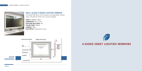



### WALL GLOW 4-SIDED LIGHTED MIRROR

Four-sided LED Mirror with frosting to the edge (WG), Double strips. Orientation of the mirror can be changed.

ITEM #: LM4WG-C4836 DIMENSION: 48 in x 36 in DIFFUSER INCLUDED: Yes COLOR TEMP: 3000 K LUMENS: 9000 ELECTRICAL: Hardwired or plug

4-SIDED INSET LIGHTED MIRRORS

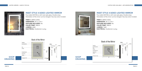

### INSET STYLE 4-SIDED LIGHTED MIRROR

Four-sided LED Mirror with inset style glass, Double strips. Orientation of the mirror can be changed. Security screw included.

**ITEM #: LM4IS-C2436** DIMENSION: 24 in x 36 in DIFFUSER INCLUDED: No COLOR TEMP: 3000 K LUMENS: 6000 ELECTRICAL: Hardwired or plug



**ITEM #: LM4IS-C3636** DIMENSION: 36 in x 36 in DIFFUSER INCLUDED: No COLOR TEMP: 3000 K LUMENS: 7600 ELECTRICAL: Hardwired or plug

### INSET STYLE 4-SIDED LIGHTED MIRROR

Four-sided LED Mirror with inset style glass, Double strips. Orientation of the mirror can be changed. Security screw included.



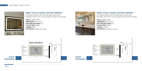

### INSET STYLE 4-SIDED LIGHTED MIRROR

Four-sided LED Mirror with inset style glass, Double strips. Orientation of the mirror can be changed. Security screw included.

**ITEM #: LM4IS-C4836** DIMENSION: 48 in x 36 in DIFFUSER INCLUDED: No COLOR TEMP: 3000 K LUMENS: 9200 ELECTRICAL: Hardwired or plug



**ITEM #: LM4IS-C6036** DIMENSION: 60 in x 36 in DIFFUSER INCLUDED: No COLOR TEMP: 3000 K LUMENS: 10,800 ELECTRICAL: Hardwired or plug

### INSET STYLE 4-SIDED LIGHTED MIRROR

Four-sided LED Mirror with inset style glass, Double strips. Orientation of the mirror can be changed. Security screw included.





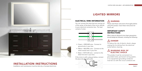### **A** WARNING

### ELECTRICAL WIRE INFORMATION

You can connect the wires that are coming out of the center of the back of the mirror directly to your electrical connection box. The lead contains 3 wires:



- Green = GROUND wire Connect to ground wire in your box.
- White = NEUTRAL wire Connect to the white neutral wire in your box.
- Black = HOT/LIVE wire connect to the black hot wire in your box.

### IMPORTANT SAFETY **INSTRUCTIONS**

If the mirror is with a plug as below, connect the plug into the wall outlet.



## LIGHTED MIRRORS

## INSTALLATION INSTRUCTIONS

Installation and maintenance must be done by a licensed electrician.

Please read these instructions thoroughly before using this product. Save these instructions for future use.

When using an electrical mirror basic precautions should always be followed, including the following:

### A DANGER

To reduce the risk of electric shock, always unplug the furnishing from the electrical outlet before cleaning.

### WARNING RISK OF ELECTRIC SHOCK

This product must be connected to a grounded metal, permanent wiring system, or an equipment-grounding conductor must be run with the circuit conducts and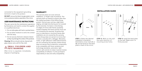connected to the equipment grounding terminal or lead to the product.

DO NOT remove the black triangle plastic corner mirror protectors before assembly of the mirror.

### USER MAINTENANCE INSTRUCTIONS

The user cannot do the maintenance operations by themselves and need to contact the supplier or a qualified electrician.

- Do not strike glass with hard or pointed items.
- Do not allow moisture to come into contact with the lamp.
- Do not use any chemical or abusive cleaner as they may damage the surface of the products.

Cleaning: Mirrors should only be cleaned with glass cleaner and a soft lint free cloth.

### SMALL CHILDREN AND PETS WARNING

After mirror is unpacked, immediately dispose of packaging.

### WARRANTY

**STEP 1: Select the desired** installation orientation. Orientation arrow mark (A) or (B) can be found on the back plate or back of the mirror.

STEP 2: Mark on the wall the exact position of mounting screw holes.

**STEP 3: Install the back plate** on the wall. Make sure it is firmly secured.

This warranty does not cover removal, installation, or freight costs of products. This warranty shall not extend to anyone other than the original purchaser of the Artline Group product. Normal wear and tear, slight black edging, and slight de-silvering are not covered by this warranty. Corrosion or de-silvering on edges of mirrors with frames caused by moisture between the frame and the mirror are not covered by this warranty. Scratches that occur on decorative or structural frames after installation are not covered by this warranty. Artline Group does not warrant its mirrors that include a cutout(s) with a defogger. Blemishes, marks, or light reflections visible behind frames are not covered by this warranty. Artline Group does not warrant that its electronic components to be compatible with future variations and technology standards, automation, light control, wall controls nor does it warrant reverse compatibility of software. It is the purchaser's responsibility to test and verify compatibility.

### INSTALLATION GUIDE

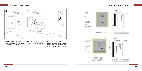



**STEP 4: Insert power plug** into an outlet, or cut the plug if hardwiring is necessary.

**STEP 5: Insert the mirror** onto the back plate cleats. STEP 6: Remove corner protectors, peel off the surface protector sheet, and clean the mirror. Turn on the switch and enjoy your lighted mirror!

6

**Frieding Area Winter Hanging Hardware** OpenBack<br>For MC Cable Maron LED Sings 3 Prong Flat Power Cord Autonum Frame LED Ones For Security Look T Screen





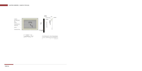